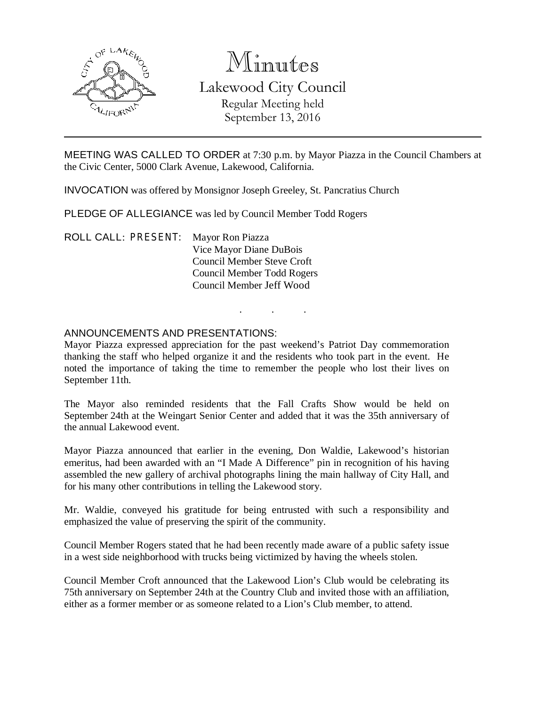

# Minutes Lakewood City Council Regular Meeting held September 13, 2016

MEETING WAS CALLED TO ORDER at 7:30 p.m. by Mayor Piazza in the Council Chambers at the Civic Center, 5000 Clark Avenue, Lakewood, California.

INVOCATION was offered by Monsignor Joseph Greeley, St. Pancratius Church

PLEDGE OF ALLEGIANCE was led by Council Member Todd Rogers

ROLL CALL: PRESENT: Mayor Ron Piazza Vice Mayor Diane DuBois Council Member Steve Croft Council Member Todd Rogers Council Member Jeff Wood

#### ANNOUNCEMENTS AND PRESENTATIONS:

Mayor Piazza expressed appreciation for the past weekend's Patriot Day commemoration thanking the staff who helped organize it and the residents who took part in the event. He noted the importance of taking the time to remember the people who lost their lives on September 11th.

. . .

The Mayor also reminded residents that the Fall Crafts Show would be held on September 24th at the Weingart Senior Center and added that it was the 35th anniversary of the annual Lakewood event.

Mayor Piazza announced that earlier in the evening, Don Waldie, Lakewood's historian emeritus, had been awarded with an "I Made A Difference" pin in recognition of his having assembled the new gallery of archival photographs lining the main hallway of City Hall, and for his many other contributions in telling the Lakewood story.

Mr. Waldie, conveyed his gratitude for being entrusted with such a responsibility and emphasized the value of preserving the spirit of the community.

Council Member Rogers stated that he had been recently made aware of a public safety issue in a west side neighborhood with trucks being victimized by having the wheels stolen.

Council Member Croft announced that the Lakewood Lion's Club would be celebrating its 75th anniversary on September 24th at the Country Club and invited those with an affiliation, either as a former member or as someone related to a Lion's Club member, to attend.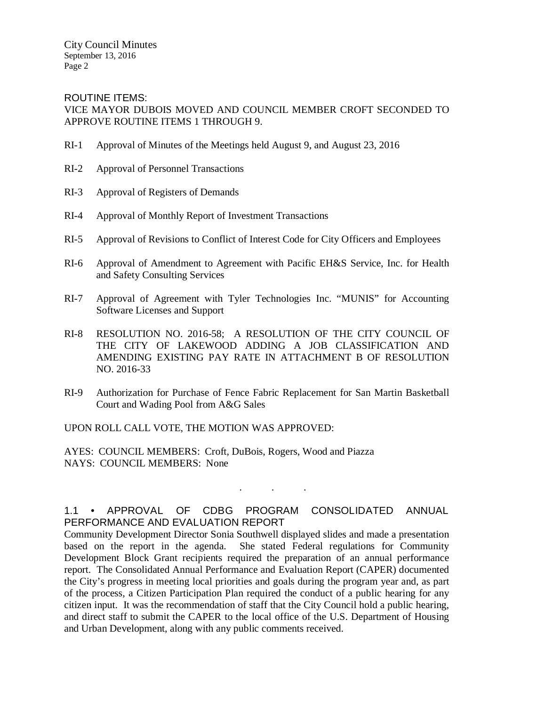City Council Minutes September 13, 2016 Page 2

ROUTINE ITEMS: VICE MAYOR DUBOIS MOVED AND COUNCIL MEMBER CROFT SECONDED TO APPROVE ROUTINE ITEMS 1 THROUGH 9.

- RI-1 Approval of Minutes of the Meetings held August 9, and August 23, 2016
- RI-2 Approval of Personnel Transactions
- RI-3 Approval of Registers of Demands
- RI-4 Approval of Monthly Report of Investment Transactions
- RI-5 Approval of Revisions to Conflict of Interest Code for City Officers and Employees
- RI-6 Approval of Amendment to Agreement with Pacific EH&S Service, Inc. for Health and Safety Consulting Services
- RI-7 Approval of Agreement with Tyler Technologies Inc. "MUNIS" for Accounting Software Licenses and Support
- RI-8 RESOLUTION NO. 2016-58; A RESOLUTION OF THE CITY COUNCIL OF THE CITY OF LAKEWOOD ADDING A JOB CLASSIFICATION AND AMENDING EXISTING PAY RATE IN ATTACHMENT B OF RESOLUTION NO. 2016-33
- RI-9 Authorization for Purchase of Fence Fabric Replacement for San Martin Basketball Court and Wading Pool from A&G Sales

UPON ROLL CALL VOTE, THE MOTION WAS APPROVED:

AYES: COUNCIL MEMBERS: Croft, DuBois, Rogers, Wood and Piazza NAYS: COUNCIL MEMBERS: None

### 1.1 • APPROVAL OF CDBG PROGRAM CONSOLIDATED ANNUAL PERFORMANCE AND EVALUATION REPORT

. . .

Community Development Director Sonia Southwell displayed slides and made a presentation based on the report in the agenda. She stated Federal regulations for Community Development Block Grant recipients required the preparation of an annual performance report. The Consolidated Annual Performance and Evaluation Report (CAPER) documented the City's progress in meeting local priorities and goals during the program year and, as part of the process, a Citizen Participation Plan required the conduct of a public hearing for any citizen input. It was the recommendation of staff that the City Council hold a public hearing, and direct staff to submit the CAPER to the local office of the U.S. Department of Housing and Urban Development, along with any public comments received.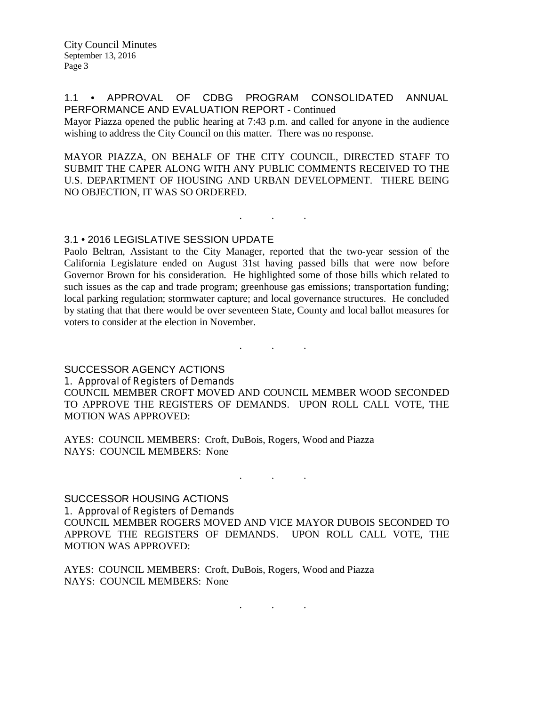City Council Minutes September 13, 2016 Page 3

#### 1.1 • APPROVAL OF CDBG PROGRAM CONSOLIDATED ANNUAL PERFORMANCE AND EVALUATION REPORT - Continued

Mayor Piazza opened the public hearing at 7:43 p.m. and called for anyone in the audience wishing to address the City Council on this matter. There was no response.

MAYOR PIAZZA, ON BEHALF OF THE CITY COUNCIL, DIRECTED STAFF TO SUBMIT THE CAPER ALONG WITH ANY PUBLIC COMMENTS RECEIVED TO THE U.S. DEPARTMENT OF HOUSING AND URBAN DEVELOPMENT. THERE BEING NO OBJECTION, IT WAS SO ORDERED.

. . .

#### 3.1 • 2016 LEGISLATIVE SESSION UPDATE

Paolo Beltran, Assistant to the City Manager, reported that the two-year session of the California Legislature ended on August 31st having passed bills that were now before Governor Brown for his consideration. He highlighted some of those bills which related to such issues as the cap and trade program; greenhouse gas emissions; transportation funding; local parking regulation; stormwater capture; and local governance structures. He concluded by stating that that there would be over seventeen State, County and local ballot measures for voters to consider at the election in November.

#### SUCCESSOR AGENCY ACTIONS

1. Approval of Registers of Demands

COUNCIL MEMBER CROFT MOVED AND COUNCIL MEMBER WOOD SECONDED TO APPROVE THE REGISTERS OF DEMANDS. UPON ROLL CALL VOTE, THE MOTION WAS APPROVED:

. . .

AYES: COUNCIL MEMBERS: Croft, DuBois, Rogers, Wood and Piazza NAYS: COUNCIL MEMBERS: None

## SUCCESSOR HOUSING ACTIONS

1. Approval of Registers of Demands COUNCIL MEMBER ROGERS MOVED AND VICE MAYOR DUBOIS SECONDED TO APPROVE THE REGISTERS OF DEMANDS. UPON ROLL CALL VOTE, THE MOTION WAS APPROVED:

. . .

AYES: COUNCIL MEMBERS: Croft, DuBois, Rogers, Wood and Piazza NAYS: COUNCIL MEMBERS: None

. . .